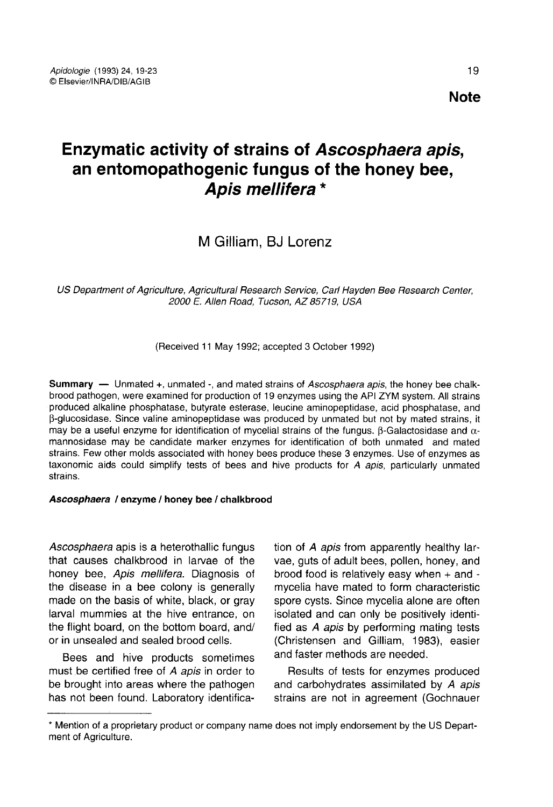# Enzymatic activity of strains of Ascosphaera apis, an entomopathogenic fungus of the honey bee, Apis mellifera \*

# M Gilliam, BJ Lorenz

US Department of Agriculture, Agricultural Research Service, Carl Hayden Bee Research Center, 2000 E. Allen Road, Tucson, AZ 85719, USA

(Received 11 May 1992; accepted 3 October 1992)

Summary — Unmated +, unmated -, and mated strains of Ascosphaera apis, the honey bee chalkbrood pathogen, were examined for production of 19 enzymes using the API ZYM system. All strains produced alkaline phosphatase, butyrate esterase, leucine aminopeptidase, acid phosphatase, and β-glucosidase. Since valine aminopeptidase was produced by unmated but not by mated strains, it may be a useful enzyme for identification of mycelial strains of the fungus. β-Galactosidase and  $α$ mannosidase may be candidate marker enzymes for identification of both unmated and mated strains. Few other molds associated with honey bees produce these 3 enzymes. Use of enzymes as taxonomic aids could simplify tests of bees and hive products for A apis, particularly unmated strains.

#### Ascosphaera / enzyme / honey bee / chalkbrood

Ascosphaera apis is a heterothallic fungus that causes chalkbrood in larvae of the honey bee, Apis mellifera. Diagnosis of the disease in a bee colony is generally made on the basis of white, black, or gray larval mummies at the hive entrance, on the flight board, on the bottom board, and/ or in unsealed and sealed brood cells.

Bees and hive products sometimes must be certified free of A apis in order to be brought into areas where the pathogen has not been found. Laboratory identification of A apis from apparently healthy larvae, guts of adult bees, pollen, honey, and brood food is relatively easy when + and mycelia have mated to form characteristic spore cysts. Since mycelia alone are often isolated and can only be positively identified as A apis by performing mating tests (Christensen and Gilliam, 1983), easier and faster methods are needed.

Results of tests for enzymes produced and carbohydrates assimilated by A apis strains are not in agreement (Gochnauer

<sup>\*</sup> Mention of a proprietary product or company name does not imply endorsement by the US Depart ment of Agriculture.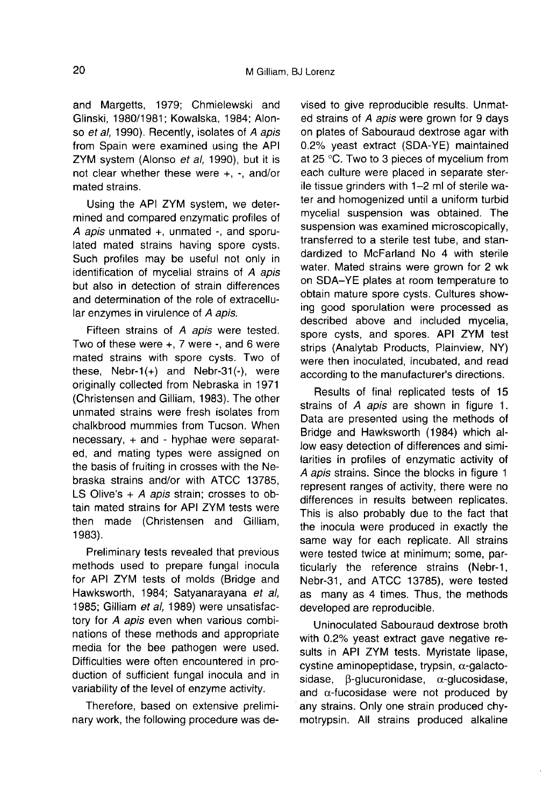and Margetts, 1979; Chmielewski and Glinski, 1980/1981; Kowalska, 1984; Alonso et al, 1990). Recently, isolates of A apis from Spain were examined using the API ZYM system (Alonso et al, 1990), but it is not clear whether these were +, -, and/or mated strains.

Using the API ZYM system, we determined and compared enzymatic profiles of A apis unmated +, unmated -, and sporulated mated strains having spore cysts. Such profiles may be useful not only in identification of mycelial strains of A apis but also in detection of strain differences and determination of the role of extracellular enzymes in virulence of A apis.

Fifteen strains of A apis were tested. Two of these were +, 7 were -, and 6 were mated strains with spore cysts. Two of these, Nebr-1(+) and Nebr-31(-), were originally collected from Nebraska in 1971 (Christensen and Gilliam, 1983). The other unmated strains were fresh isolates from chalkbrood mummies from Tucson. When necessary, + and - hyphae were separated, and mating types were assigned on the basis of fruiting in crosses with the Nebraska strains and/or with ATCC 13785, LS Olive's  $+$  A apis strain; crosses to obtain mated strains for API ZYM tests were then made (Christensen and Gilliam, 1983).

Preliminary tests revealed that previous methods used to prepare fungal inocula for API ZYM tests of molds (Bridge and Hawksworth, 1984; Satyanarayana et al, 1985; Gilliam et al, 1989) were unsatisfactory for A apis even when various combinations of these methods and appropriate media for the bee pathogen were used. Difficulties were often encountered in production of sufficient fungal inocula and in variability of the level of enzyme activity.

Therefore, based on extensive preliminary work, the following procedure was devised to give reproducible results. Unmated strains of A apis were grown for 9 days on plates of Sabouraud dextrose agar with 0.2% yeast extract (SDA-YE) maintained at 25 °C. Two to 3 pieces of mycelium from each culture were placed in separate sterile tissue grinders with 1-2 ml of sterile water and homogenized until a uniform turbid mycelial suspension was obtained. The suspension was examined microscopically, transferred to a sterile test tube, and standardized to McFarland No 4 with sterile water. Mated strains were grown for 2 wk on SDA-YE plates at room temperature to obtain mature spore cysts. Cultures showing good sporulation were processed as described above and included mycelia, spore cysts, and spores. API ZYM test strips (Analytab Products, Plainview, NY) were then inoculated, incubated, and read according to the manufacturer's directions.

Results of final replicated tests of 15 strains of A apis are shown in figure 1. Data are presented using the methods of Bridge and Hawksworth (1984) which allow easy detection of differences and similarities in profiles of enzymatic activity of A apis strains. Since the blocks in figure 1 represent ranges of activity, there were no differences in results between replicates. This is also probably due to the fact that the inocula were produced in exactly the same way for each replicate. All strains were tested twice at minimum; some, particularly the reference strains (Nebr-1, Nebr-31, and ATCC 13785), were tested as many as 4 times. Thus, the methods developed are reproducible.

Uninoculated Sabouraud dextrose broth with 0.2% yeast extract gave negative results in API ZYM tests. Myristate lipase, cystine aminopeptidase, trypsin, α-galactosidase, β-glucuronidase, α-glucosidase, and  $\alpha$ -fucosidase were not produced by any strains. Only one strain produced chymotrypsin. All strains produced alkaline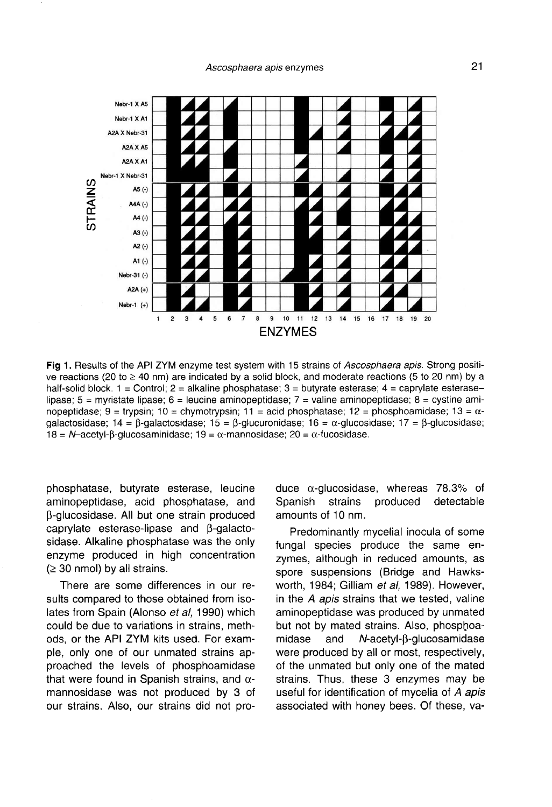

Fig 1. Results of the API ZYM enzyme test system with 15 strains of Ascosphaera apis. Strong positive reactions (20 to  $\geq$  40 nm) are indicated by a solid block, and moderate reactions (5 to 20 nm) by a half-solid block.  $1 =$  Control;  $2 =$  alkaline phosphatase;  $3 =$  butyrate esterase;  $4 =$  caprylate esteraselipase;  $5 =$  myristate lipase;  $6 =$  leucine aminopeptidase;  $7 =$  valine aminopeptidase;  $8 =$  cystine aminopeptidase; 9 = trypsin; 10 = chymotrypsin; 11 = acid phosphatase; 12 = phosphoamidase; 13 =  $\alpha$ dalactosidase: 14 = β-dalactosidase: 15 = β-dłucuronidase: 16 = α-dlucosidase: 17 = β-dlucosidase: 18 = N-acetyl-B-glucosaminidase;  $19 = \alpha$ -mannosidase;  $20 = \alpha$ -fucosidase.

phosphatase, butyrate esterase, leucine aminopeptidase, acid phosphatase, and β-glucosidase. All but one strain produced caprylate esterase-lipase and β-galactosidase. Alkaline phosphatase was the only enzyme produced in high concentration  $(≥ 30$  nmol) by all strains.

There are some differences in our results compared to those obtained from isolates from Spain (Alonso et al, 1990) which could be due to variations in strains, methods, or the API ZYM kits used. For example, only one of our unmated strains approached the levels of phosphoamidase that were found in Spanish strains, and  $α$ mannosidase was not produced by 3 of our strains. Also, our strains did not produce α-glucosidase, whereas 78.3% of strains produced amounts of 10 nm.

Predominantly mycelial inocula of some fungal species produce the same enzymes, although in reduced amounts, as spore suspensions (Bridge and Hawksworth, 1984; Gilliam et al, 1989). However, in the A apis strains that we tested, valine aminopeptidase was produced by unmated but not by mated strains. Also, phosphoamidase and N-acetyl-β-glucosamidase were produced by all or most, respectively, of the unmated but only one of the mated strains. Thus, these 3 enzymes may be useful for identification of mycelia of A apis associated with honey bees. Of these, va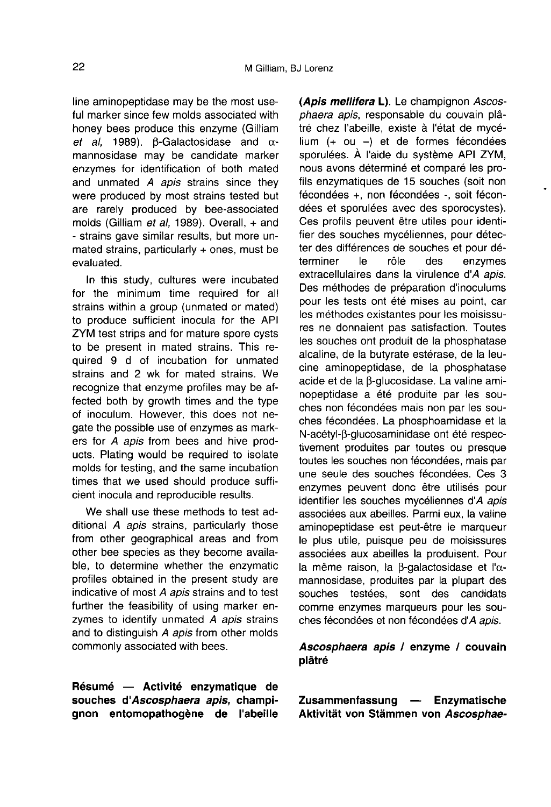line aminopeptidase may be the most useful marker since few molds associated with honey bees produce this enzyme (Gilliam et al, 1989). β-Galactosidase and  $α$ mannosidase may be candidate marker enzymes for identification of both mated and unmated A apis strains since they were produced by most strains tested but are rarely produced by bee-associated molds (Gilliam et al, 1989). Overall, + and - strains gave similar results, but more unmated strains, particularly + ones, must be evaluated.

In this study, cultures were incubated for the minimum time required for all strains within a group (unmated or mated) to produce sufficient inocula for the API ZYM test strips and for mature spore cysts to be present in mated strains. This required 9 d of incubation for unmated strains and 2 wk for mated strains. We recognize that enzyme profiles may be affected both by growth times and the type of inoculum. However, this does not negate the possible use of enzymes as markers for A apis from bees and hive prod ucts. Plating would be required to isolate molds for testing, and the same incubation times that we used should produce sufficient inocula and reproducible results.

We shall use these methods to test additional A apis strains, particularly those from other geographical areas and from other bee species as they become available, to determine whether the enzymatic profiles obtained in the present study are indicative of most A apis strains and to test further the feasibility of using marker enzymes to identify unmated A apis strains and to distinguish A apis from other molds commonly associated with bees.

Résumé — Activité enzymatique de souches d'Ascosphaera apis, champignon entomopathogène de l'abeille (Apis mellifera L). Le champignon Ascosphaera apis, responsable du couvain plâtré chez l'abeille, existe à l'état de mycélium (+ ou -) et de formes fécondées sporulées. À l'aide du système API ZYM, nous avons déterminé et comparé les profils enzymatiques de 15 souches (soit non fécondées +, non fécondées -, soit fécondées et sporulées avec des sporocystes). Ces profils peuvent être utiles pour identifier des souches mycéliennes, pour détecter des différences de souches et pour dé-<br>terminer de rôle des enzymes terminer le rôle des enzymes extracellulaires dans la virulence d'*A apis*. Des méthodes de préparation d'inoculums pour les tests ont été mises au point, car les méthodes existantes pour les moisissures ne donnaient pas satisfaction. Toutes les souches ont produit de la phosphatase alcaline, de la butyrate estérase, de la leucine aminopeptidase, de la phosphatase acide et de la β-glucosidase. La valine aminopeptidase a été produite par les souches non fécondées mais non par les souches fécondées. La phosphoamidase et la N-acétyl-β-glucosaminidase ont été respectivement produites par toutes ou presque toutes les souches non fécondées, mais par une seule des souches fécondées. Ces 3 enzymes peuvent donc être utilisés pour identifier les souches mycéliennes d'A apis associées aux abeilles. Parmi eux, la valine aminopeptidase est peut-être le marqueur le plus utile, puisque peu de moisissures associées aux abeilles la produisent. Pour la même raison, la β-galactosidase et l'α mannosidase, produites par la plupart des souches testées, sont des candidats comme enzymes marqueurs pour les souches fécondées et non fécondées d'A apis.

# Ascosphaera apis / enzyme / couvain plâtré

Zusammenfassung — Enzymatische Aktivität von Stämmen von Ascosphae-